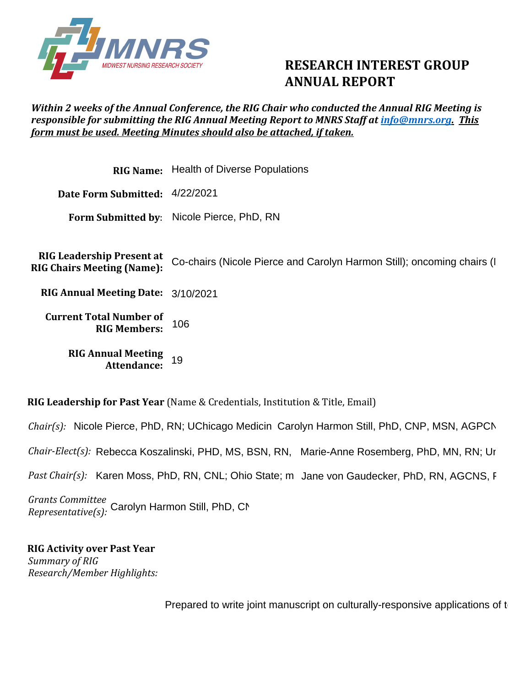

## **RESEARCH INTEREST GROUP ANNUAL REPORT**

## *Within 2 weeks of the Annual Conference, the RIG Chair who conducted the Annual RIG Meeting is responsible for submitting the RIG Annual Meeting Report to MNRS Staff at [info@mnrs.org.](mailto:info@mnrs.org) This form must be used. Meeting Minutes should also be attached, if taken.*

|                                                                       | <b>RIG Name:</b> Health of Diverse Populations                         |
|-----------------------------------------------------------------------|------------------------------------------------------------------------|
| Date Form Submitted: 4/22/2021                                        |                                                                        |
|                                                                       | Form Submitted by: Nicole Pierce, PhD, RN                              |
| <b>RIG Leadership Present at</b><br><b>RIG Chairs Meeting (Name):</b> | Co-chairs (Nicole Pierce and Carolyn Harmon Still); oncoming chairs (I |
| RIG Annual Meeting Date: 3/10/2021                                    |                                                                        |
| <b>Current Total Number of</b><br><b>RIG Members:</b>                 | 106                                                                    |
| <b>RIG Annual Meeting</b><br>Attendance:                              | 19                                                                     |

**RIG Leadership for Past Year** (Name & Credentials, Institution & Title, Email)

Chair(s): Nicole Pierce, PhD, RN; UChicago Medicin Carolyn Harmon Still, PhD, CNP, MSN, AGPCN

Chair-Elect(s): Rebecca Koszalinski, PHD, MS, BSN, RN, Marie-Anne Rosemberg, PhD, MN, RN; Ur

*Chair-Elect(s):* Rebecca Koszalinski, PHD, MS, BSN, RN, Marie-Anne Rosemberg, PhD, MN, RN; Ur<br>*Past Chair(s):* Karen Moss, PhD, RN, CNL; Ohio State; m Jane von Gaudecker, PhD, RN, AGCNS, F

*Grants Committee Representative(s):* Carolyn Harmon Still, PhD, CN, MSN, CON, MSN, Agencies Western, Case Western, Case Western, C

**RIG Activity over Past Year**  *Summary of RIG Research/Member Highlights:* 

Prepared to write joint manuscript on culturally-responsive applications of t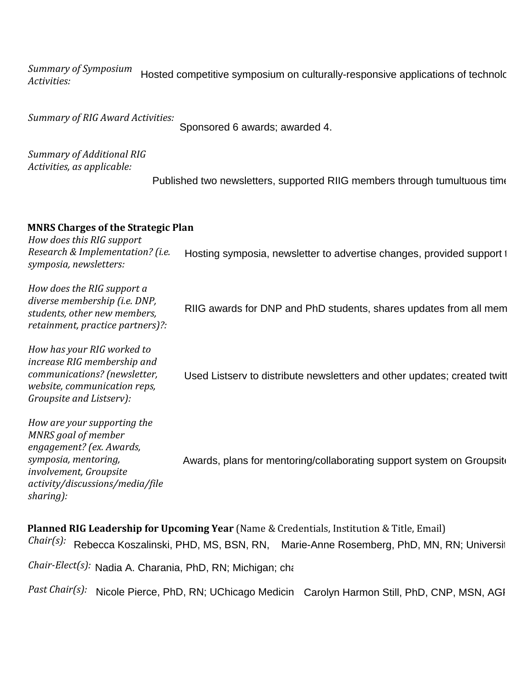*Summary of Symposium Activities:*  Hosted competitive symposium on culturally-responsive applications of technolc

*Summary of RIG Award Activities:* 

Sponsored 6 awards; awarded 4.

*Summary of Additional RIG Activities, as applicable:*

Published two newsletters, supported RIIG members through tumultuous times

## **MNRS Charges of the Strategic Plan**

*How does this RIG support Research & Implementation? (i.e. symposia, newsletters:* Hosting symposia, newsletter to advertise changes, provided support to

| How does the RIG support a<br>diverse membership (i.e. DNP,<br>students, other new members,<br>retainment, practice partners)?:                                                    | RIIG awards for DNP and PhD students, shares updates from all mem        |
|------------------------------------------------------------------------------------------------------------------------------------------------------------------------------------|--------------------------------------------------------------------------|
| How has your RIG worked to<br>increase RIG membership and<br>communications? (newsletter,<br>website, communication reps,<br>Groupsite and Listserv):                              | Used Listsery to distribute newsletters and other updates; created twitt |
| How are your supporting the<br>MNRS goal of member<br>engagement? (ex. Awards,<br>symposia, mentoring,<br>involvement, Groupsite<br>activity/discussions/media/file<br>$sharing$ : | Awards, plans for mentoring/collaborating support system on Groupsite    |

**Planned RIG Leadership for Upcoming Year** (Name & Credentials, Institution & Title, Email) *Chair(s):* Rebecca Koszalinski, PHD, MS, BSN, RN, Marie-Anne Rosemberg, PhD, MN, RN; Universit

*Chair-Elect(s):* Nadia A. Charania, PhD, RN; Michigan; cha

Past Chair(s): Nicole Pierce, PhD, RN; UChicago Medicin Carolyn Harmon Still, PhD, CNP, MSN, AGI